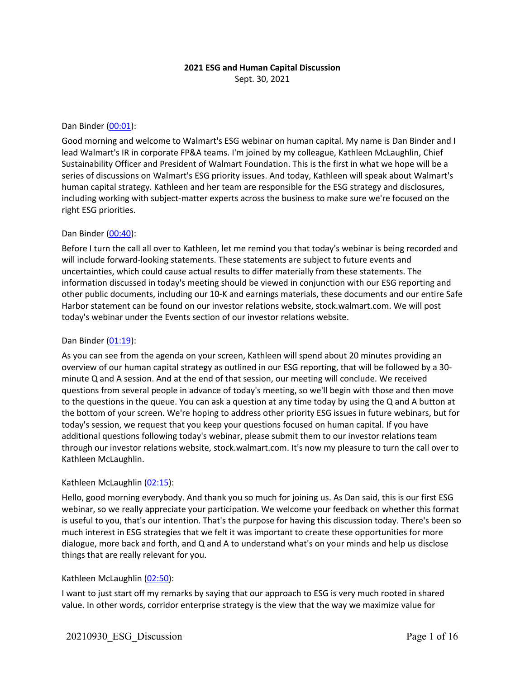# **2021 ESG and Human Capital Discussion**

Sept. 30, 2021

#### Dan Binder (00:01):

Good morning and welcome to Walmart's ESG webinar on human capital. My name is Dan Binder and I lead Walmart's IR in corporate FP&A teams. I'm joined by my colleague, Kathleen McLaughlin, Chief Sustainability Officer and President of Walmart Foundation. This is the first in what we hope will be a series of discussions on Walmart's ESG priority issues. And today, Kathleen will speak about Walmart's human capital strategy. Kathleen and her team are responsible for the ESG strategy and disclosures, including working with subject-matter experts across the business to make sure we're focused on the right ESG priorities.

## Dan Binder (00:40):

Before I turn the call all over to Kathleen, let me remind you that today's webinar is being recorded and will include forward-looking statements. These statements are subject to future events and uncertainties, which could cause actual results to differ materially from these statements. The information discussed in today's meeting should be viewed in conjunction with our ESG reporting and other public documents, including our 10-K and earnings materials, these documents and our entire Safe Harbor statement can be found on our investor relations website, stock.walmart.com. We will post today's webinar under the Events section of our investor relations website.

### Dan Binder (01:19):

As you can see from the agenda on your screen, Kathleen will spend about 20 minutes providing an overview of our human capital strategy as outlined in our ESG reporting, that will be followed by a 30 minute Q and A session. And at the end of that session, our meeting will conclude. We received questions from several people in advance of today's meeting, so we'll begin with those and then move to the questions in the queue. You can ask a question at any time today by using the Q and A button at the bottom of your screen. We're hoping to address other priority ESG issues in future webinars, but for today's session, we request that you keep your questions focused on human capital. If you have additional questions following today's webinar, please submit them to our investor relations team through our investor relations website, stock.walmart.com. It's now my pleasure to turn the call over to Kathleen McLaughlin.

## Kathleen McLaughlin (02:15):

Hello, good morning everybody. And thank you so much for joining us. As Dan said, this is our first ESG webinar, so we really appreciate your participation. We welcome your feedback on whether this format is useful to you, that's our intention. That's the purpose for having this discussion today. There's been so much interest in ESG strategies that we felt it was important to create these opportunities for more dialogue, more back and forth, and Q and A to understand what's on your minds and help us disclose things that are really relevant for you.

## Kathleen McLaughlin (02:50):

I want to just start off my remarks by saying that our approach to ESG is very much rooted in shared value. In other words, corridor enterprise strategy is the view that the way we maximize value for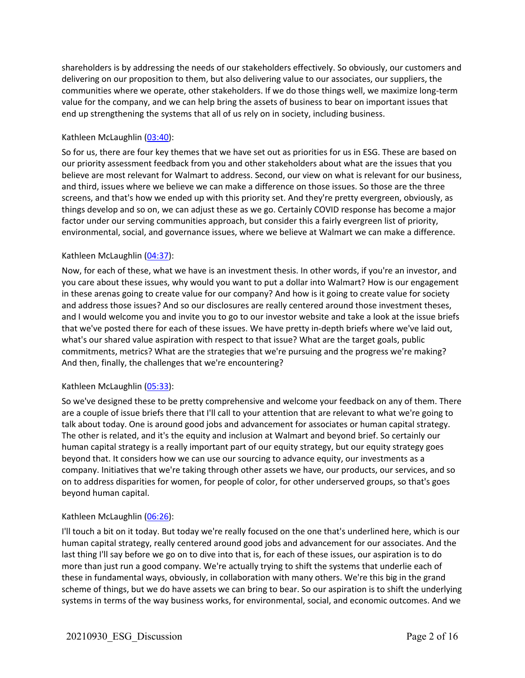shareholders is by addressing the needs of our stakeholders effectively. So obviously, our customers and delivering on our proposition to them, but also delivering value to our associates, our suppliers, the communities where we operate, other stakeholders. If we do those things well, we maximize long-term value for the company, and we can help bring the assets of business to bear on important issues that end up strengthening the systems that all of us rely on in society, including business.

## Kathleen McLaughlin (03:40):

So for us, there are four key themes that we have set out as priorities for us in ESG. These are based on our priority assessment feedback from you and other stakeholders about what are the issues that you believe are most relevant for Walmart to address. Second, our view on what is relevant for our business, and third, issues where we believe we can make a difference on those issues. So those are the three screens, and that's how we ended up with this priority set. And they're pretty evergreen, obviously, as things develop and so on, we can adjust these as we go. Certainly COVID response has become a major factor under our serving communities approach, but consider this a fairly evergreen list of priority, environmental, social, and governance issues, where we believe at Walmart we can make a difference.

## Kathleen McLaughlin (04:37):

Now, for each of these, what we have is an investment thesis. In other words, if you're an investor, and you care about these issues, why would you want to put a dollar into Walmart? How is our engagement in these arenas going to create value for our company? And how is it going to create value for society and address those issues? And so our disclosures are really centered around those investment theses, and I would welcome you and invite you to go to our investor website and take a look at the issue briefs that we've posted there for each of these issues. We have pretty in-depth briefs where we've laid out, what's our shared value aspiration with respect to that issue? What are the target goals, public commitments, metrics? What are the strategies that we're pursuing and the progress we're making? And then, finally, the challenges that we're encountering?

## Kathleen McLaughlin (05:33):

So we've designed these to be pretty comprehensive and welcome your feedback on any of them. There are a couple of issue briefs there that I'll call to your attention that are relevant to what we're going to talk about today. One is around good jobs and advancement for associates or human capital strategy. The other is related, and it's the equity and inclusion at Walmart and beyond brief. So certainly our human capital strategy is a really important part of our equity strategy, but our equity strategy goes beyond that. It considers how we can use our sourcing to advance equity, our investments as a company. Initiatives that we're taking through other assets we have, our products, our services, and so on to address disparities for women, for people of color, for other underserved groups, so that's goes beyond human capital.

## Kathleen McLaughlin (06:26):

I'll touch a bit on it today. But today we're really focused on the one that's underlined here, which is our human capital strategy, really centered around good jobs and advancement for our associates. And the last thing I'll say before we go on to dive into that is, for each of these issues, our aspiration is to do more than just run a good company. We're actually trying to shift the systems that underlie each of these in fundamental ways, obviously, in collaboration with many others. We're this big in the grand scheme of things, but we do have assets we can bring to bear. So our aspiration is to shift the underlying systems in terms of the way business works, for environmental, social, and economic outcomes. And we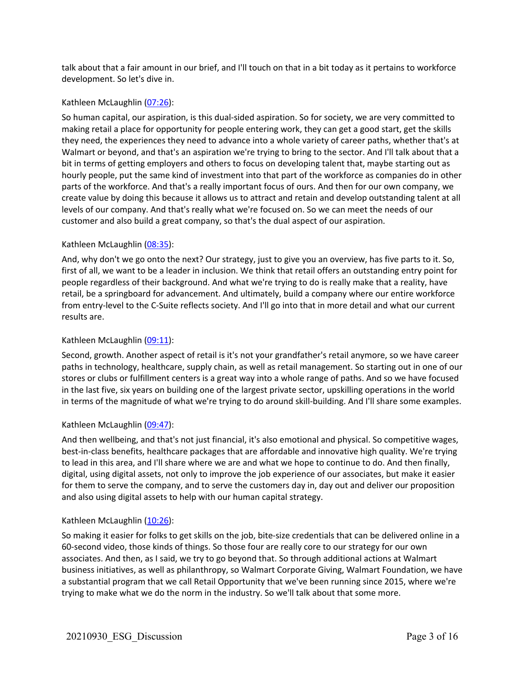talk about that a fair amount in our brief, and I'll touch on that in a bit today as it pertains to workforce development. So let's dive in.

## Kathleen McLaughlin (07:26):

So human capital, our aspiration, is this dual-sided aspiration. So for society, we are very committed to making retail a place for opportunity for people entering work, they can get a good start, get the skills they need, the experiences they need to advance into a whole variety of career paths, whether that's at Walmart or beyond, and that's an aspiration we're trying to bring to the sector. And I'll talk about that a bit in terms of getting employers and others to focus on developing talent that, maybe starting out as hourly people, put the same kind of investment into that part of the workforce as companies do in other parts of the workforce. And that's a really important focus of ours. And then for our own company, we create value by doing this because it allows us to attract and retain and develop outstanding talent at all levels of our company. And that's really what we're focused on. So we can meet the needs of our customer and also build a great company, so that's the dual aspect of our aspiration.

## Kathleen McLaughlin (08:35):

And, why don't we go onto the next? Our strategy, just to give you an overview, has five parts to it. So, first of all, we want to be a leader in inclusion. We think that retail offers an outstanding entry point for people regardless of their background. And what we're trying to do is really make that a reality, have retail, be a springboard for advancement. And ultimately, build a company where our entire workforce from entry-level to the C-Suite reflects society. And I'll go into that in more detail and what our current results are.

## Kathleen McLaughlin (09:11):

Second, growth. Another aspect of retail is it's not your grandfather's retail anymore, so we have career paths in technology, healthcare, supply chain, as well as retail management. So starting out in one of our stores or clubs or fulfillment centers is a great way into a whole range of paths. And so we have focused in the last five, six years on building one of the largest private sector, upskilling operations in the world in terms of the magnitude of what we're trying to do around skill-building. And I'll share some examples.

## Kathleen McLaughlin (09:47):

And then wellbeing, and that's not just financial, it's also emotional and physical. So competitive wages, best-in-class benefits, healthcare packages that are affordable and innovative high quality. We're trying to lead in this area, and I'll share where we are and what we hope to continue to do. And then finally, digital, using digital assets, not only to improve the job experience of our associates, but make it easier for them to serve the company, and to serve the customers day in, day out and deliver our proposition and also using digital assets to help with our human capital strategy.

## Kathleen McLaughlin (10:26):

So making it easier for folks to get skills on the job, bite-size credentials that can be delivered online in a 60-second video, those kinds of things. So those four are really core to our strategy for our own associates. And then, as I said, we try to go beyond that. So through additional actions at Walmart business initiatives, as well as philanthropy, so Walmart Corporate Giving, Walmart Foundation, we have a substantial program that we call Retail Opportunity that we've been running since 2015, where we're trying to make what we do the norm in the industry. So we'll talk about that some more.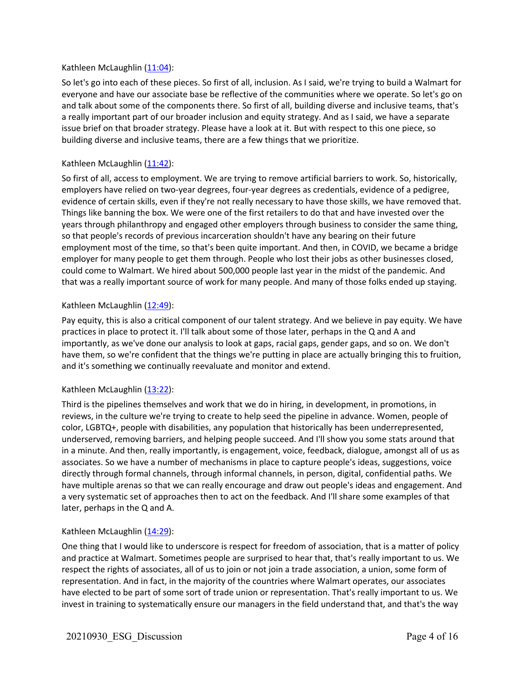## Kathleen McLaughlin (11:04):

So let's go into each of these pieces. So first of all, inclusion. As I said, we're trying to build a Walmart for everyone and have our associate base be reflective of the communities where we operate. So let's go on and talk about some of the components there. So first of all, building diverse and inclusive teams, that's a really important part of our broader inclusion and equity strategy. And as I said, we have a separate issue brief on that broader strategy. Please have a look at it. But with respect to this one piece, so building diverse and inclusive teams, there are a few things that we prioritize.

### Kathleen McLaughlin (11:42):

So first of all, access to employment. We are trying to remove artificial barriers to work. So, historically, employers have relied on two-year degrees, four-year degrees as credentials, evidence of a pedigree, evidence of certain skills, even if they're not really necessary to have those skills, we have removed that. Things like banning the box. We were one of the first retailers to do that and have invested over the years through philanthropy and engaged other employers through business to consider the same thing, so that people's records of previous incarceration shouldn't have any bearing on their future employment most of the time, so that's been quite important. And then, in COVID, we became a bridge employer for many people to get them through. People who lost their jobs as other businesses closed, could come to Walmart. We hired about 500,000 people last year in the midst of the pandemic. And that was a really important source of work for many people. And many of those folks ended up staying.

#### Kathleen McLaughlin (12:49):

Pay equity, this is also a critical component of our talent strategy. And we believe in pay equity. We have practices in place to protect it. I'll talk about some of those later, perhaps in the Q and A and importantly, as we've done our analysis to look at gaps, racial gaps, gender gaps, and so on. We don't have them, so we're confident that the things we're putting in place are actually bringing this to fruition, and it's something we continually reevaluate and monitor and extend.

#### Kathleen McLaughlin (13:22):

Third is the pipelines themselves and work that we do in hiring, in development, in promotions, in reviews, in the culture we're trying to create to help seed the pipeline in advance. Women, people of color, LGBTQ+, people with disabilities, any population that historically has been underrepresented, underserved, removing barriers, and helping people succeed. And I'll show you some stats around that in a minute. And then, really importantly, is engagement, voice, feedback, dialogue, amongst all of us as associates. So we have a number of mechanisms in place to capture people's ideas, suggestions, voice directly through formal channels, through informal channels, in person, digital, confidential paths. We have multiple arenas so that we can really encourage and draw out people's ideas and engagement. And a very systematic set of approaches then to act on the feedback. And I'll share some examples of that later, perhaps in the Q and A.

#### Kathleen McLaughlin (14:29):

One thing that I would like to underscore is respect for freedom of association, that is a matter of policy and practice at Walmart. Sometimes people are surprised to hear that, that's really important to us. We respect the rights of associates, all of us to join or not join a trade association, a union, some form of representation. And in fact, in the majority of the countries where Walmart operates, our associates have elected to be part of some sort of trade union or representation. That's really important to us. We invest in training to systematically ensure our managers in the field understand that, and that's the way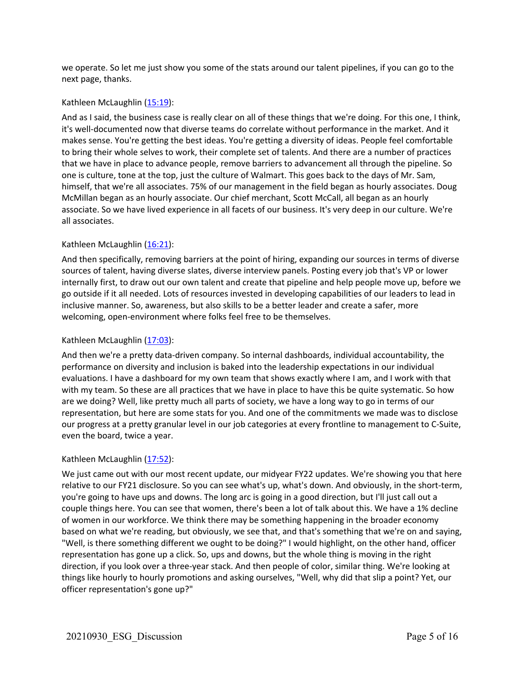we operate. So let me just show you some of the stats around our talent pipelines, if you can go to the next page, thanks.

## Kathleen McLaughlin (15:19):

And as I said, the business case is really clear on all of these things that we're doing. For this one, I think, it's well-documented now that diverse teams do correlate without performance in the market. And it makes sense. You're getting the best ideas. You're getting a diversity of ideas. People feel comfortable to bring their whole selves to work, their complete set of talents. And there are a number of practices that we have in place to advance people, remove barriers to advancement all through the pipeline. So one is culture, tone at the top, just the culture of Walmart. This goes back to the days of Mr. Sam, himself, that we're all associates. 75% of our management in the field began as hourly associates. Doug McMillan began as an hourly associate. Our chief merchant, Scott McCall, all began as an hourly associate. So we have lived experience in all facets of our business. It's very deep in our culture. We're all associates.

## Kathleen McLaughlin (16:21):

And then specifically, removing barriers at the point of hiring, expanding our sources in terms of diverse sources of talent, having diverse slates, diverse interview panels. Posting every job that's VP or lower internally first, to draw out our own talent and create that pipeline and help people move up, before we go outside if it all needed. Lots of resources invested in developing capabilities of our leaders to lead in inclusive manner. So, awareness, but also skills to be a better leader and create a safer, more welcoming, open-environment where folks feel free to be themselves.

## Kathleen McLaughlin (17:03):

And then we're a pretty data-driven company. So internal dashboards, individual accountability, the performance on diversity and inclusion is baked into the leadership expectations in our individual evaluations. I have a dashboard for my own team that shows exactly where I am, and I work with that with my team. So these are all practices that we have in place to have this be quite systematic. So how are we doing? Well, like pretty much all parts of society, we have a long way to go in terms of our representation, but here are some stats for you. And one of the commitments we made was to disclose our progress at a pretty granular level in our job categories at every frontline to management to C-Suite, even the board, twice a year.

## Kathleen McLaughlin (17:52):

We just came out with our most recent update, our midyear FY22 updates. We're showing you that here relative to our FY21 disclosure. So you can see what's up, what's down. And obviously, in the short-term, you're going to have ups and downs. The long arc is going in a good direction, but I'll just call out a couple things here. You can see that women, there's been a lot of talk about this. We have a 1% decline of women in our workforce. We think there may be something happening in the broader economy based on what we're reading, but obviously, we see that, and that's something that we're on and saying, "Well, is there something different we ought to be doing?" I would highlight, on the other hand, officer representation has gone up a click. So, ups and downs, but the whole thing is moving in the right direction, if you look over a three-year stack. And then people of color, similar thing. We're looking at things like hourly to hourly promotions and asking ourselves, "Well, why did that slip a point? Yet, our officer representation's gone up?"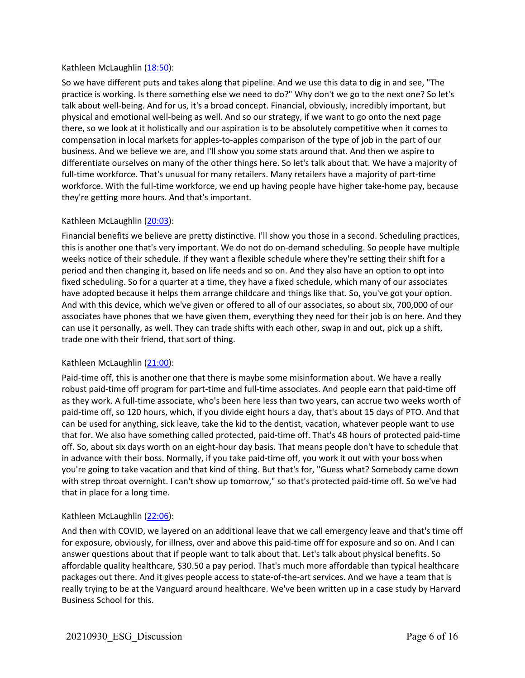## Kathleen McLaughlin (18:50):

So we have different puts and takes along that pipeline. And we use this data to dig in and see, "The practice is working. Is there something else we need to do?" Why don't we go to the next one? So let's talk about well-being. And for us, it's a broad concept. Financial, obviously, incredibly important, but physical and emotional well-being as well. And so our strategy, if we want to go onto the next page there, so we look at it holistically and our aspiration is to be absolutely competitive when it comes to compensation in local markets for apples-to-apples comparison of the type of job in the part of our business. And we believe we are, and I'll show you some stats around that. And then we aspire to differentiate ourselves on many of the other things here. So let's talk about that. We have a majority of full-time workforce. That's unusual for many retailers. Many retailers have a majority of part-time workforce. With the full-time workforce, we end up having people have higher take-home pay, because they're getting more hours. And that's important.

## Kathleen McLaughlin (20:03):

Financial benefits we believe are pretty distinctive. I'll show you those in a second. Scheduling practices, this is another one that's very important. We do not do on-demand scheduling. So people have multiple weeks notice of their schedule. If they want a flexible schedule where they're setting their shift for a period and then changing it, based on life needs and so on. And they also have an option to opt into fixed scheduling. So for a quarter at a time, they have a fixed schedule, which many of our associates have adopted because it helps them arrange childcare and things like that. So, you've got your option. And with this device, which we've given or offered to all of our associates, so about six, 700,000 of our associates have phones that we have given them, everything they need for their job is on here. And they can use it personally, as well. They can trade shifts with each other, swap in and out, pick up a shift, trade one with their friend, that sort of thing.

## Kathleen McLaughlin (21:00):

Paid-time off, this is another one that there is maybe some misinformation about. We have a really robust paid-time off program for part-time and full-time associates. And people earn that paid-time off as they work. A full-time associate, who's been here less than two years, can accrue two weeks worth of paid-time off, so 120 hours, which, if you divide eight hours a day, that's about 15 days of PTO. And that can be used for anything, sick leave, take the kid to the dentist, vacation, whatever people want to use that for. We also have something called protected, paid-time off. That's 48 hours of protected paid-time off. So, about six days worth on an eight-hour day basis. That means people don't have to schedule that in advance with their boss. Normally, if you take paid-time off, you work it out with your boss when you're going to take vacation and that kind of thing. But that's for, "Guess what? Somebody came down with strep throat overnight. I can't show up tomorrow," so that's protected paid-time off. So we've had that in place for a long time.

## Kathleen McLaughlin (22:06):

And then with COVID, we layered on an additional leave that we call emergency leave and that's time off for exposure, obviously, for illness, over and above this paid-time off for exposure and so on. And I can answer questions about that if people want to talk about that. Let's talk about physical benefits. So affordable quality healthcare, \$30.50 a pay period. That's much more affordable than typical healthcare packages out there. And it gives people access to state-of-the-art services. And we have a team that is really trying to be at the Vanguard around healthcare. We've been written up in a case study by Harvard Business School for this.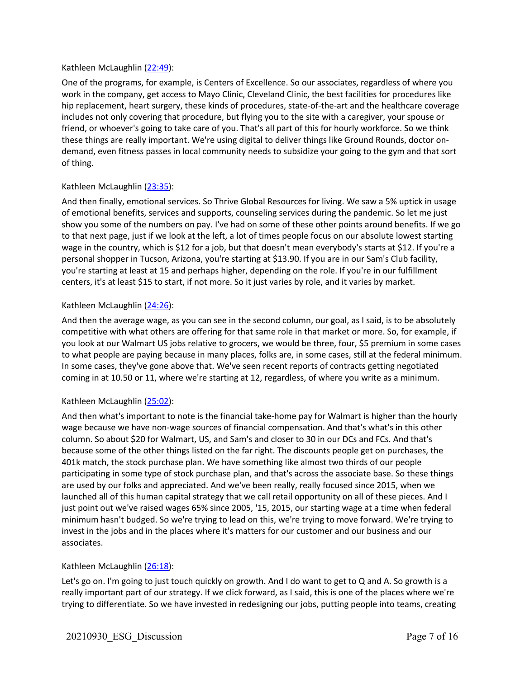## Kathleen McLaughlin (22:49):

One of the programs, for example, is Centers of Excellence. So our associates, regardless of where you work in the company, get access to Mayo Clinic, Cleveland Clinic, the best facilities for procedures like hip replacement, heart surgery, these kinds of procedures, state-of-the-art and the healthcare coverage includes not only covering that procedure, but flying you to the site with a caregiver, your spouse or friend, or whoever's going to take care of you. That's all part of this for hourly workforce. So we think these things are really important. We're using digital to deliver things like Ground Rounds, doctor ondemand, even fitness passes in local community needs to subsidize your going to the gym and that sort of thing.

## Kathleen McLaughlin (23:35):

And then finally, emotional services. So Thrive Global Resources for living. We saw a 5% uptick in usage of emotional benefits, services and supports, counseling services during the pandemic. So let me just show you some of the numbers on pay. I've had on some of these other points around benefits. If we go to that next page, just if we look at the left, a lot of times people focus on our absolute lowest starting wage in the country, which is \$12 for a job, but that doesn't mean everybody's starts at \$12. If you're a personal shopper in Tucson, Arizona, you're starting at \$13.90. If you are in our Sam's Club facility, you're starting at least at 15 and perhaps higher, depending on the role. If you're in our fulfillment centers, it's at least \$15 to start, if not more. So it just varies by role, and it varies by market.

## Kathleen McLaughlin (24:26):

And then the average wage, as you can see in the second column, our goal, as I said, is to be absolutely competitive with what others are offering for that same role in that market or more. So, for example, if you look at our Walmart US jobs relative to grocers, we would be three, four, \$5 premium in some cases to what people are paying because in many places, folks are, in some cases, still at the federal minimum. In some cases, they've gone above that. We've seen recent reports of contracts getting negotiated coming in at 10.50 or 11, where we're starting at 12, regardless, of where you write as a minimum.

## Kathleen McLaughlin (25:02):

And then what's important to note is the financial take-home pay for Walmart is higher than the hourly wage because we have non-wage sources of financial compensation. And that's what's in this other column. So about \$20 for Walmart, US, and Sam's and closer to 30 in our DCs and FCs. And that's because some of the other things listed on the far right. The discounts people get on purchases, the 401k match, the stock purchase plan. We have something like almost two thirds of our people participating in some type of stock purchase plan, and that's across the associate base. So these things are used by our folks and appreciated. And we've been really, really focused since 2015, when we launched all of this human capital strategy that we call retail opportunity on all of these pieces. And I just point out we've raised wages 65% since 2005, '15, 2015, our starting wage at a time when federal minimum hasn't budged. So we're trying to lead on this, we're trying to move forward. We're trying to invest in the jobs and in the places where it's matters for our customer and our business and our associates.

## Kathleen McLaughlin (26:18):

Let's go on. I'm going to just touch quickly on growth. And I do want to get to Q and A. So growth is a really important part of our strategy. If we click forward, as I said, this is one of the places where we're trying to differentiate. So we have invested in redesigning our jobs, putting people into teams, creating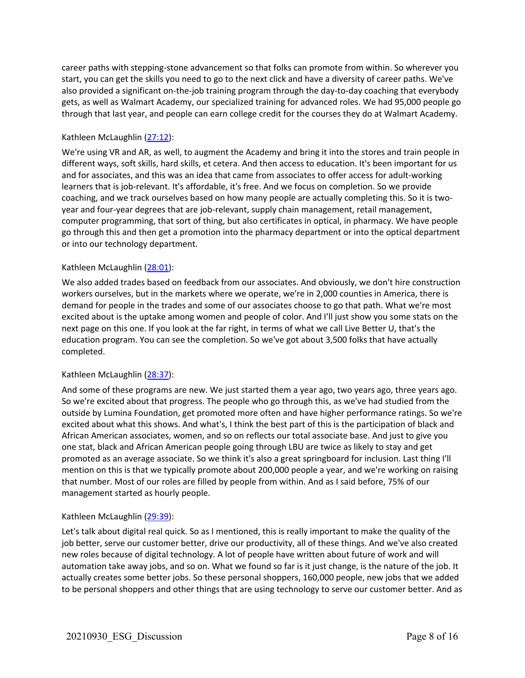career paths with stepping-stone advancement so that folks can promote from within. So wherever you start, you can get the skills you need to go to the next click and have a diversity of career paths. We've also provided a significant on-the-job training program through the day-to-day coaching that everybody gets, as well as Walmart Academy, our specialized training for advanced roles. We had 95,000 people go through that last year, and people can earn college credit for the courses they do at Walmart Academy.

## Kathleen McLaughlin (27:12):

We're using VR and AR, as well, to augment the Academy and bring it into the stores and train people in different ways, soft skills, hard skills, et cetera. And then access to education. It's been important for us and for associates, and this was an idea that came from associates to offer access for adult-working learners that is job-relevant. It's affordable, it's free. And we focus on completion. So we provide coaching, and we track ourselves based on how many people are actually completing this. So it is twoyear and four-year degrees that are job-relevant, supply chain management, retail management, computer programming, that sort of thing, but also certificates in optical, in pharmacy. We have people go through this and then get a promotion into the pharmacy department or into the optical department or into our technology department.

## Kathleen McLaughlin (28:01):

We also added trades based on feedback from our associates. And obviously, we don't hire construction workers ourselves, but in the markets where we operate, we're in 2,000 counties in America, there is demand for people in the trades and some of our associates choose to go that path. What we're most excited about is the uptake among women and people of color. And I'll just show you some stats on the next page on this one. If you look at the far right, in terms of what we call Live Better U, that's the education program. You can see the completion. So we've got about 3,500 folks that have actually completed.

## Kathleen McLaughlin (28:37):

And some of these programs are new. We just started them a year ago, two years ago, three years ago. So we're excited about that progress. The people who go through this, as we've had studied from the outside by Lumina Foundation, get promoted more often and have higher performance ratings. So we're excited about what this shows. And what's, I think the best part of this is the participation of black and African American associates, women, and so on reflects our total associate base. And just to give you one stat, black and African American people going through LBU are twice as likely to stay and get promoted as an average associate. So we think it's also a great springboard for inclusion. Last thing I'll mention on this is that we typically promote about 200,000 people a year, and we're working on raising that number. Most of our roles are filled by people from within. And as I said before, 75% of our management started as hourly people.

## Kathleen McLaughlin (29:39):

Let's talk about digital real quick. So as I mentioned, this is really important to make the quality of the job better, serve our customer better, drive our productivity, all of these things. And we've also created new roles because of digital technology. A lot of people have written about future of work and will automation take away jobs, and so on. What we found so far is it just change, is the nature of the job. It actually creates some better jobs. So these personal shoppers, 160,000 people, new jobs that we added to be personal shoppers and other things that are using technology to serve our customer better. And as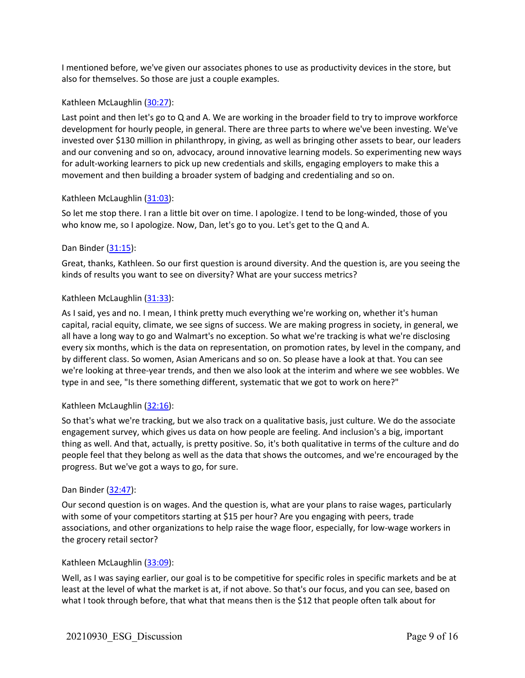I mentioned before, we've given our associates phones to use as productivity devices in the store, but also for themselves. So those are just a couple examples.

### Kathleen McLaughlin (30:27):

Last point and then let's go to Q and A. We are working in the broader field to try to improve workforce development for hourly people, in general. There are three parts to where we've been investing. We've invested over \$130 million in philanthropy, in giving, as well as bringing other assets to bear, our leaders and our convening and so on, advocacy, around innovative learning models. So experimenting new ways for adult-working learners to pick up new credentials and skills, engaging employers to make this a movement and then building a broader system of badging and credentialing and so on.

#### Kathleen McLaughlin (31:03):

So let me stop there. I ran a little bit over on time. I apologize. I tend to be long-winded, those of you who know me, so I apologize. Now, Dan, let's go to you. Let's get to the Q and A.

#### Dan Binder (31:15):

Great, thanks, Kathleen. So our first question is around diversity. And the question is, are you seeing the kinds of results you want to see on diversity? What are your success metrics?

#### Kathleen McLaughlin (31:33):

As I said, yes and no. I mean, I think pretty much everything we're working on, whether it's human capital, racial equity, climate, we see signs of success. We are making progress in society, in general, we all have a long way to go and Walmart's no exception. So what we're tracking is what we're disclosing every six months, which is the data on representation, on promotion rates, by level in the company, and by different class. So women, Asian Americans and so on. So please have a look at that. You can see we're looking at three-year trends, and then we also look at the interim and where we see wobbles. We type in and see, "Is there something different, systematic that we got to work on here?"

## Kathleen McLaughlin (32:16):

So that's what we're tracking, but we also track on a qualitative basis, just culture. We do the associate engagement survey, which gives us data on how people are feeling. And inclusion's a big, important thing as well. And that, actually, is pretty positive. So, it's both qualitative in terms of the culture and do people feel that they belong as well as the data that shows the outcomes, and we're encouraged by the progress. But we've got a ways to go, for sure.

#### Dan Binder (32:47):

Our second question is on wages. And the question is, what are your plans to raise wages, particularly with some of your competitors starting at \$15 per hour? Are you engaging with peers, trade associations, and other organizations to help raise the wage floor, especially, for low-wage workers in the grocery retail sector?

#### Kathleen McLaughlin (33:09):

Well, as I was saying earlier, our goal is to be competitive for specific roles in specific markets and be at least at the level of what the market is at, if not above. So that's our focus, and you can see, based on what I took through before, that what that means then is the \$12 that people often talk about for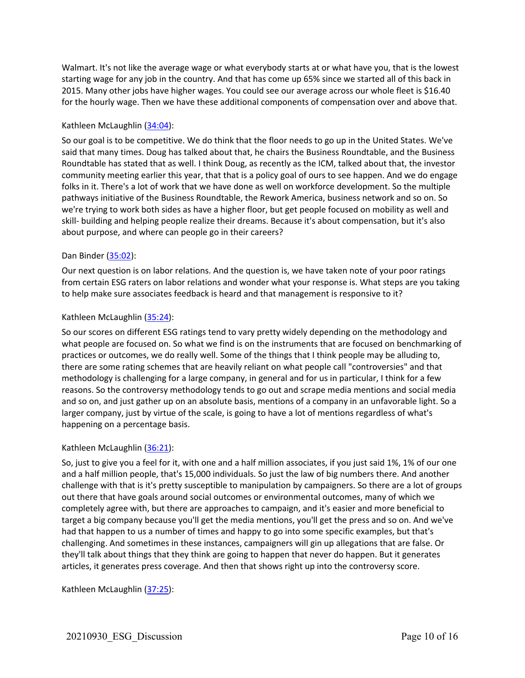Walmart. It's not like the average wage or what everybody starts at or what have you, that is the lowest starting wage for any job in the country. And that has come up 65% since we started all of this back in 2015. Many other jobs have higher wages. You could see our average across our whole fleet is \$16.40 for the hourly wage. Then we have these additional components of compensation over and above that.

## Kathleen McLaughlin (34:04):

So our goal is to be competitive. We do think that the floor needs to go up in the United States. We've said that many times. Doug has talked about that, he chairs the Business Roundtable, and the Business Roundtable has stated that as well. I think Doug, as recently as the ICM, talked about that, the investor community meeting earlier this year, that that is a policy goal of ours to see happen. And we do engage folks in it. There's a lot of work that we have done as well on workforce development. So the multiple pathways initiative of the Business Roundtable, the Rework America, business network and so on. So we're trying to work both sides as have a higher floor, but get people focused on mobility as well and skill- building and helping people realize their dreams. Because it's about compensation, but it's also about purpose, and where can people go in their careers?

## Dan Binder (35:02):

Our next question is on labor relations. And the question is, we have taken note of your poor ratings from certain ESG raters on labor relations and wonder what your response is. What steps are you taking to help make sure associates feedback is heard and that management is responsive to it?

## Kathleen McLaughlin (35:24):

So our scores on different ESG ratings tend to vary pretty widely depending on the methodology and what people are focused on. So what we find is on the instruments that are focused on benchmarking of practices or outcomes, we do really well. Some of the things that I think people may be alluding to, there are some rating schemes that are heavily reliant on what people call "controversies" and that methodology is challenging for a large company, in general and for us in particular, I think for a few reasons. So the controversy methodology tends to go out and scrape media mentions and social media and so on, and just gather up on an absolute basis, mentions of a company in an unfavorable light. So a larger company, just by virtue of the scale, is going to have a lot of mentions regardless of what's happening on a percentage basis.

## Kathleen McLaughlin (36:21):

So, just to give you a feel for it, with one and a half million associates, if you just said 1%, 1% of our one and a half million people, that's 15,000 individuals. So just the law of big numbers there. And another challenge with that is it's pretty susceptible to manipulation by campaigners. So there are a lot of groups out there that have goals around social outcomes or environmental outcomes, many of which we completely agree with, but there are approaches to campaign, and it's easier and more beneficial to target a big company because you'll get the media mentions, you'll get the press and so on. And we've had that happen to us a number of times and happy to go into some specific examples, but that's challenging. And sometimes in these instances, campaigners will gin up allegations that are false. Or they'll talk about things that they think are going to happen that never do happen. But it generates articles, it generates press coverage. And then that shows right up into the controversy score.

Kathleen McLaughlin (37:25):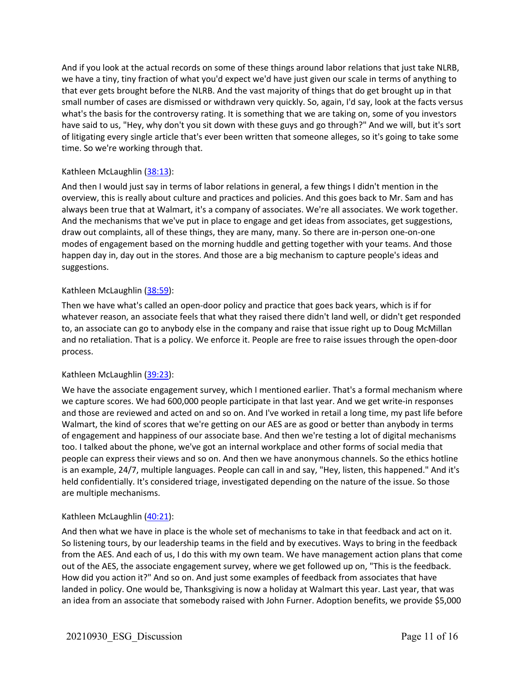And if you look at the actual records on some of these things around labor relations that just take NLRB, we have a tiny, tiny fraction of what you'd expect we'd have just given our scale in terms of anything to that ever gets brought before the NLRB. And the vast majority of things that do get brought up in that small number of cases are dismissed or withdrawn very quickly. So, again, I'd say, look at the facts versus what's the basis for the controversy rating. It is something that we are taking on, some of you investors have said to us, "Hey, why don't you sit down with these guys and go through?" And we will, but it's sort of litigating every single article that's ever been written that someone alleges, so it's going to take some time. So we're working through that.

## Kathleen McLaughlin (38:13):

And then I would just say in terms of labor relations in general, a few things I didn't mention in the overview, this is really about culture and practices and policies. And this goes back to Mr. Sam and has always been true that at Walmart, it's a company of associates. We're all associates. We work together. And the mechanisms that we've put in place to engage and get ideas from associates, get suggestions, draw out complaints, all of these things, they are many, many. So there are in-person one-on-one modes of engagement based on the morning huddle and getting together with your teams. And those happen day in, day out in the stores. And those are a big mechanism to capture people's ideas and suggestions.

## Kathleen McLaughlin (38:59):

Then we have what's called an open-door policy and practice that goes back years, which is if for whatever reason, an associate feels that what they raised there didn't land well, or didn't get responded to, an associate can go to anybody else in the company and raise that issue right up to Doug McMillan and no retaliation. That is a policy. We enforce it. People are free to raise issues through the open-door process.

## Kathleen McLaughlin (39:23):

We have the associate engagement survey, which I mentioned earlier. That's a formal mechanism where we capture scores. We had 600,000 people participate in that last year. And we get write-in responses and those are reviewed and acted on and so on. And I've worked in retail a long time, my past life before Walmart, the kind of scores that we're getting on our AES are as good or better than anybody in terms of engagement and happiness of our associate base. And then we're testing a lot of digital mechanisms too. I talked about the phone, we've got an internal workplace and other forms of social media that people can express their views and so on. And then we have anonymous channels. So the ethics hotline is an example, 24/7, multiple languages. People can call in and say, "Hey, listen, this happened." And it's held confidentially. It's considered triage, investigated depending on the nature of the issue. So those are multiple mechanisms.

## Kathleen McLaughlin (40:21):

And then what we have in place is the whole set of mechanisms to take in that feedback and act on it. So listening tours, by our leadership teams in the field and by executives. Ways to bring in the feedback from the AES. And each of us, I do this with my own team. We have management action plans that come out of the AES, the associate engagement survey, where we get followed up on, "This is the feedback. How did you action it?" And so on. And just some examples of feedback from associates that have landed in policy. One would be, Thanksgiving is now a holiday at Walmart this year. Last year, that was an idea from an associate that somebody raised with John Furner. Adoption benefits, we provide \$5,000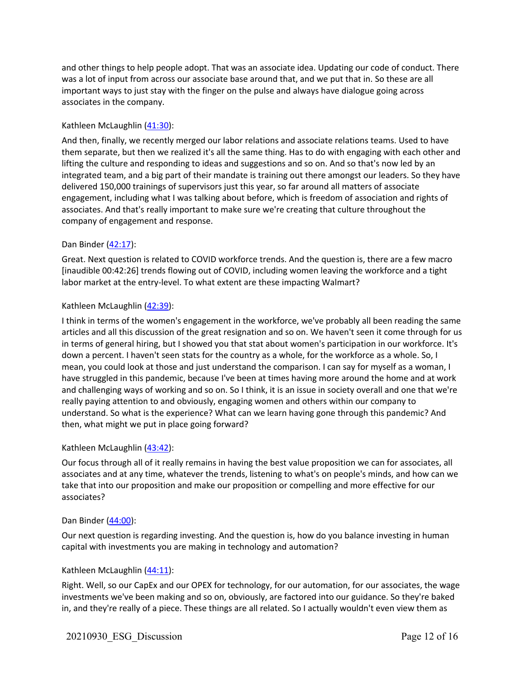and other things to help people adopt. That was an associate idea. Updating our code of conduct. There was a lot of input from across our associate base around that, and we put that in. So these are all important ways to just stay with the finger on the pulse and always have dialogue going across associates in the company.

## Kathleen McLaughlin (41:30):

And then, finally, we recently merged our labor relations and associate relations teams. Used to have them separate, but then we realized it's all the same thing. Has to do with engaging with each other and lifting the culture and responding to ideas and suggestions and so on. And so that's now led by an integrated team, and a big part of their mandate is training out there amongst our leaders. So they have delivered 150,000 trainings of supervisors just this year, so far around all matters of associate engagement, including what I was talking about before, which is freedom of association and rights of associates. And that's really important to make sure we're creating that culture throughout the company of engagement and response.

## Dan Binder (42:17):

Great. Next question is related to COVID workforce trends. And the question is, there are a few macro [inaudible 00:42:26] trends flowing out of COVID, including women leaving the workforce and a tight labor market at the entry-level. To what extent are these impacting Walmart?

## Kathleen McLaughlin (42:39):

I think in terms of the women's engagement in the workforce, we've probably all been reading the same articles and all this discussion of the great resignation and so on. We haven't seen it come through for us in terms of general hiring, but I showed you that stat about women's participation in our workforce. It's down a percent. I haven't seen stats for the country as a whole, for the workforce as a whole. So, I mean, you could look at those and just understand the comparison. I can say for myself as a woman, I have struggled in this pandemic, because I've been at times having more around the home and at work and challenging ways of working and so on. So I think, it is an issue in society overall and one that we're really paying attention to and obviously, engaging women and others within our company to understand. So what is the experience? What can we learn having gone through this pandemic? And then, what might we put in place going forward?

## Kathleen McLaughlin (43:42):

Our focus through all of it really remains in having the best value proposition we can for associates, all associates and at any time, whatever the trends, listening to what's on people's minds, and how can we take that into our proposition and make our proposition or compelling and more effective for our associates?

## Dan Binder (44:00):

Our next question is regarding investing. And the question is, how do you balance investing in human capital with investments you are making in technology and automation?

## Kathleen McLaughlin (44:11):

Right. Well, so our CapEx and our OPEX for technology, for our automation, for our associates, the wage investments we've been making and so on, obviously, are factored into our guidance. So they're baked in, and they're really of a piece. These things are all related. So I actually wouldn't even view them as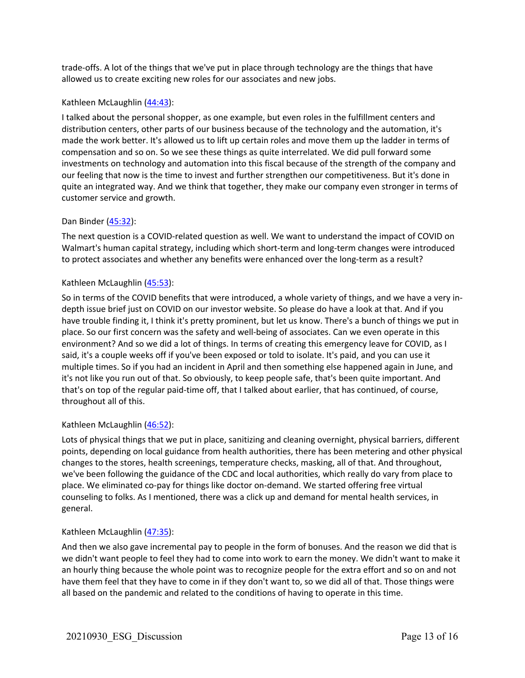trade-offs. A lot of the things that we've put in place through technology are the things that have allowed us to create exciting new roles for our associates and new jobs.

## Kathleen McLaughlin (44:43):

I talked about the personal shopper, as one example, but even roles in the fulfillment centers and distribution centers, other parts of our business because of the technology and the automation, it's made the work better. It's allowed us to lift up certain roles and move them up the ladder in terms of compensation and so on. So we see these things as quite interrelated. We did pull forward some investments on technology and automation into this fiscal because of the strength of the company and our feeling that now is the time to invest and further strengthen our competitiveness. But it's done in quite an integrated way. And we think that together, they make our company even stronger in terms of customer service and growth.

## Dan Binder (45:32):

The next question is a COVID-related question as well. We want to understand the impact of COVID on Walmart's human capital strategy, including which short-term and long-term changes were introduced to protect associates and whether any benefits were enhanced over the long-term as a result?

## Kathleen McLaughlin (45:53):

So in terms of the COVID benefits that were introduced, a whole variety of things, and we have a very indepth issue brief just on COVID on our investor website. So please do have a look at that. And if you have trouble finding it, I think it's pretty prominent, but let us know. There's a bunch of things we put in place. So our first concern was the safety and well-being of associates. Can we even operate in this environment? And so we did a lot of things. In terms of creating this emergency leave for COVID, as I said, it's a couple weeks off if you've been exposed or told to isolate. It's paid, and you can use it multiple times. So if you had an incident in April and then something else happened again in June, and it's not like you run out of that. So obviously, to keep people safe, that's been quite important. And that's on top of the regular paid-time off, that I talked about earlier, that has continued, of course, throughout all of this.

## Kathleen McLaughlin (46:52):

Lots of physical things that we put in place, sanitizing and cleaning overnight, physical barriers, different points, depending on local guidance from health authorities, there has been metering and other physical changes to the stores, health screenings, temperature checks, masking, all of that. And throughout, we've been following the guidance of the CDC and local authorities, which really do vary from place to place. We eliminated co-pay for things like doctor on-demand. We started offering free virtual counseling to folks. As I mentioned, there was a click up and demand for mental health services, in general.

## Kathleen McLaughlin (47:35):

And then we also gave incremental pay to people in the form of bonuses. And the reason we did that is we didn't want people to feel they had to come into work to earn the money. We didn't want to make it an hourly thing because the whole point was to recognize people for the extra effort and so on and not have them feel that they have to come in if they don't want to, so we did all of that. Those things were all based on the pandemic and related to the conditions of having to operate in this time.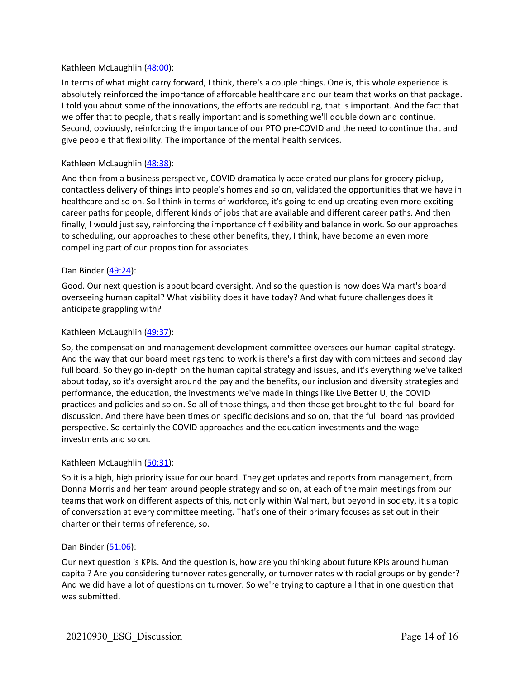## Kathleen McLaughlin (48:00):

In terms of what might carry forward, I think, there's a couple things. One is, this whole experience is absolutely reinforced the importance of affordable healthcare and our team that works on that package. I told you about some of the innovations, the efforts are redoubling, that is important. And the fact that we offer that to people, that's really important and is something we'll double down and continue. Second, obviously, reinforcing the importance of our PTO pre-COVID and the need to continue that and give people that flexibility. The importance of the mental health services.

#### Kathleen McLaughlin (48:38):

And then from a business perspective, COVID dramatically accelerated our plans for grocery pickup, contactless delivery of things into people's homes and so on, validated the opportunities that we have in healthcare and so on. So I think in terms of workforce, it's going to end up creating even more exciting career paths for people, different kinds of jobs that are available and different career paths. And then finally, I would just say, reinforcing the importance of flexibility and balance in work. So our approaches to scheduling, our approaches to these other benefits, they, I think, have become an even more compelling part of our proposition for associates

#### Dan Binder (49:24):

Good. Our next question is about board oversight. And so the question is how does Walmart's board overseeing human capital? What visibility does it have today? And what future challenges does it anticipate grappling with?

#### Kathleen McLaughlin (49:37):

So, the compensation and management development committee oversees our human capital strategy. And the way that our board meetings tend to work is there's a first day with committees and second day full board. So they go in-depth on the human capital strategy and issues, and it's everything we've talked about today, so it's oversight around the pay and the benefits, our inclusion and diversity strategies and performance, the education, the investments we've made in things like Live Better U, the COVID practices and policies and so on. So all of those things, and then those get brought to the full board for discussion. And there have been times on specific decisions and so on, that the full board has provided perspective. So certainly the COVID approaches and the education investments and the wage investments and so on.

#### Kathleen McLaughlin (50:31):

So it is a high, high priority issue for our board. They get updates and reports from management, from Donna Morris and her team around people strategy and so on, at each of the main meetings from our teams that work on different aspects of this, not only within Walmart, but beyond in society, it's a topic of conversation at every committee meeting. That's one of their primary focuses as set out in their charter or their terms of reference, so.

#### Dan Binder (51:06):

Our next question is KPIs. And the question is, how are you thinking about future KPIs around human capital? Are you considering turnover rates generally, or turnover rates with racial groups or by gender? And we did have a lot of questions on turnover. So we're trying to capture all that in one question that was submitted.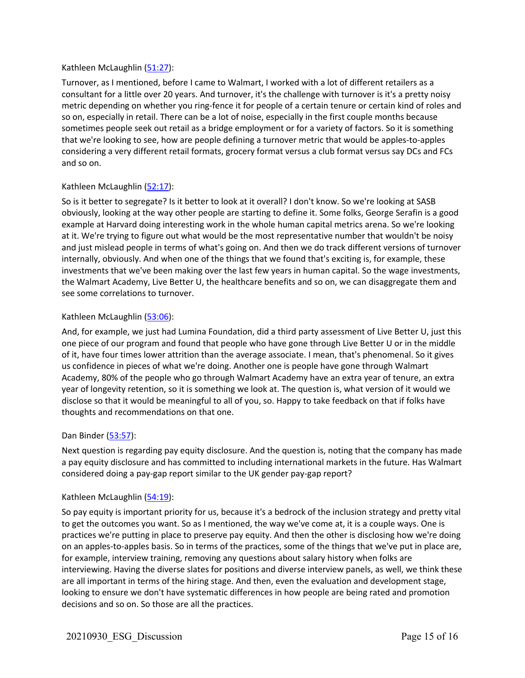## Kathleen McLaughlin (51:27):

Turnover, as I mentioned, before I came to Walmart, I worked with a lot of different retailers as a consultant for a little over 20 years. And turnover, it's the challenge with turnover is it's a pretty noisy metric depending on whether you ring-fence it for people of a certain tenure or certain kind of roles and so on, especially in retail. There can be a lot of noise, especially in the first couple months because sometimes people seek out retail as a bridge employment or for a variety of factors. So it is something that we're looking to see, how are people defining a turnover metric that would be apples-to-apples considering a very different retail formats, grocery format versus a club format versus say DCs and FCs and so on.

## Kathleen McLaughlin (52:17):

So is it better to segregate? Is it better to look at it overall? I don't know. So we're looking at SASB obviously, looking at the way other people are starting to define it. Some folks, George Serafin is a good example at Harvard doing interesting work in the whole human capital metrics arena. So we're looking at it. We're trying to figure out what would be the most representative number that wouldn't be noisy and just mislead people in terms of what's going on. And then we do track different versions of turnover internally, obviously. And when one of the things that we found that's exciting is, for example, these investments that we've been making over the last few years in human capital. So the wage investments, the Walmart Academy, Live Better U, the healthcare benefits and so on, we can disaggregate them and see some correlations to turnover.

## Kathleen McLaughlin (53:06):

And, for example, we just had Lumina Foundation, did a third party assessment of Live Better U, just this one piece of our program and found that people who have gone through Live Better U or in the middle of it, have four times lower attrition than the average associate. I mean, that's phenomenal. So it gives us confidence in pieces of what we're doing. Another one is people have gone through Walmart Academy, 80% of the people who go through Walmart Academy have an extra year of tenure, an extra year of longevity retention, so it is something we look at. The question is, what version of it would we disclose so that it would be meaningful to all of you, so. Happy to take feedback on that if folks have thoughts and recommendations on that one.

## Dan Binder (53:57):

Next question is regarding pay equity disclosure. And the question is, noting that the company has made a pay equity disclosure and has committed to including international markets in the future. Has Walmart considered doing a pay-gap report similar to the UK gender pay-gap report?

## Kathleen McLaughlin (54:19):

So pay equity is important priority for us, because it's a bedrock of the inclusion strategy and pretty vital to get the outcomes you want. So as I mentioned, the way we've come at, it is a couple ways. One is practices we're putting in place to preserve pay equity. And then the other is disclosing how we're doing on an apples-to-apples basis. So in terms of the practices, some of the things that we've put in place are, for example, interview training, removing any questions about salary history when folks are interviewing. Having the diverse slates for positions and diverse interview panels, as well, we think these are all important in terms of the hiring stage. And then, even the evaluation and development stage, looking to ensure we don't have systematic differences in how people are being rated and promotion decisions and so on. So those are all the practices.